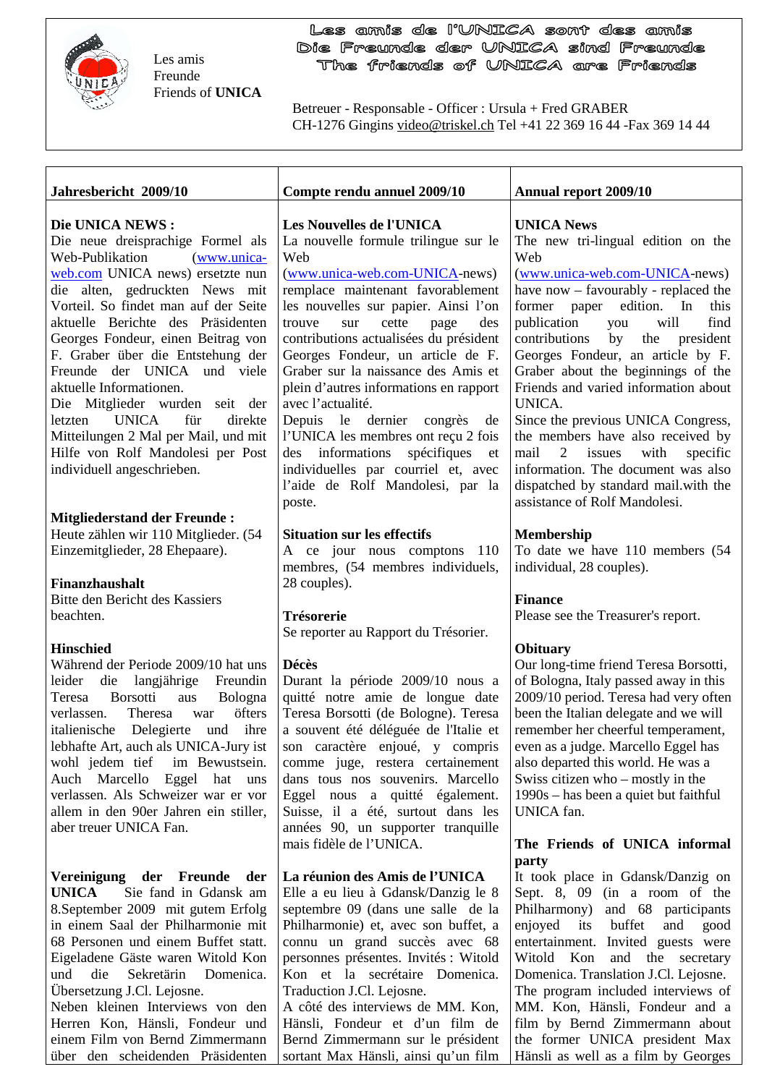

Les amis Freunde Friends of **UNICA**

einem Film von Bernd Zimmermann über den scheidenden Präsidenten

Les amis de l'UNICA sont des amis Die Freunde der UNICA sind Freunde The friends of UNICA are Friends

Betreuer - Responsable - Officer : Ursula + Fred GRABER CH-1276 Gingins video@triskel.ch Tel +41 22 369 16 44 -Fax 369 14 44

| Jahresbericht 2009/10                                                                                                                                                                                                                                                                                                                                                                                                                                                                                                                                                    | Compte rendu annuel 2009/10                                                                                                                                                                                                                                                                                                                                                                                                                                                                                                                                                                                                  | <b>Annual report 2009/10</b>                                                                                                                                                                                                                                                                                                                                                                                                                                                                                                                                                                                                    |
|--------------------------------------------------------------------------------------------------------------------------------------------------------------------------------------------------------------------------------------------------------------------------------------------------------------------------------------------------------------------------------------------------------------------------------------------------------------------------------------------------------------------------------------------------------------------------|------------------------------------------------------------------------------------------------------------------------------------------------------------------------------------------------------------------------------------------------------------------------------------------------------------------------------------------------------------------------------------------------------------------------------------------------------------------------------------------------------------------------------------------------------------------------------------------------------------------------------|---------------------------------------------------------------------------------------------------------------------------------------------------------------------------------------------------------------------------------------------------------------------------------------------------------------------------------------------------------------------------------------------------------------------------------------------------------------------------------------------------------------------------------------------------------------------------------------------------------------------------------|
| Die UNICA NEWS:<br>Die neue dreisprachige Formel als<br>Web-Publikation<br>(www.unica-<br>web.com UNICA news) ersetzte nun<br>die alten, gedruckten News mit<br>Vorteil. So findet man auf der Seite<br>aktuelle Berichte des Präsidenten<br>Georges Fondeur, einen Beitrag von<br>F. Graber über die Entstehung der<br>Freunde der UNICA und viele<br>aktuelle Informationen.<br>Die Mitglieder wurden seit der<br><b>UNICA</b><br>für<br>letzten<br>direkte<br>Mitteilungen 2 Mal per Mail, und mit<br>Hilfe von Rolf Mandolesi per Post<br>individuell angeschrieben. | Les Nouvelles de l'UNICA<br>La nouvelle formule trilingue sur le<br>Web<br>(www.unica-web.com-UNICA-news)<br>remplace maintenant favorablement<br>les nouvelles sur papier. Ainsi l'on<br>cette<br>des<br>trouve<br>sur<br>page<br>contributions actualisées du président<br>Georges Fondeur, un article de F.<br>Graber sur la naissance des Amis et<br>plein d'autres informations en rapport<br>avec l'actualité.<br>Depuis le dernier congrès<br>de<br>l'UNICA les membres ont reçu 2 fois<br>spécifiques<br>des informations<br>et<br>individuelles par courriel et, avec<br>l'aide de Rolf Mandolesi, par la<br>poste. | <b>UNICA News</b><br>The new tri-lingual edition on the<br>Web<br>(www.unica-web.com-UNICA-news)<br>have now - favourably - replaced the<br>edition. In<br>former paper<br>this<br>publication<br>will<br>find<br>you<br>contributions<br>by<br>the president<br>Georges Fondeur, an article by F.<br>Graber about the beginnings of the<br>Friends and varied information about<br>UNICA.<br>Since the previous UNICA Congress,<br>the members have also received by<br>mail<br>2<br>issues<br>with<br>specific<br>information. The document was also<br>dispatched by standard mail.with the<br>assistance of Rolf Mandolesi. |
| <b>Mitgliederstand der Freunde:</b><br>Heute zählen wir 110 Mitglieder. (54<br>Einzemitglieder, 28 Ehepaare).<br>Finanzhaushalt<br>Bitte den Bericht des Kassiers<br>beachten.                                                                                                                                                                                                                                                                                                                                                                                           | <b>Situation sur les effectifs</b><br>ce jour nous comptons<br>110<br>A<br>membres, (54 membres individuels,<br>28 couples).<br>Trésorerie<br>Se reporter au Rapport du Trésorier.                                                                                                                                                                                                                                                                                                                                                                                                                                           | <b>Membership</b><br>To date we have 110 members (54<br>individual, 28 couples).<br><b>Finance</b><br>Please see the Treasurer's report.                                                                                                                                                                                                                                                                                                                                                                                                                                                                                        |
| <b>Hinschied</b><br>Während der Periode 2009/10 hat uns<br>leider die langjährige<br>Freundin<br>Borsotti<br>Bologna<br>Teresa<br>aus<br>öfters<br>verlassen.<br>Theresa<br>war<br>italienische Delegierte<br>ihre<br>und<br>lebhafte Art, auch als UNICA-Jury ist<br>wohl jedem tief<br>im Bewustsein.<br>Auch Marcello Eggel hat uns<br>verlassen. Als Schweizer war er vor<br>allem in den 90er Jahren ein stiller,<br>aber treuer UNICA Fan.                                                                                                                         | <b>Décès</b><br>Durant la période 2009/10 nous a<br>quitté notre amie de longue date<br>Teresa Borsotti (de Bologne). Teresa<br>a souvent été déléguée de l'Italie et<br>son caractère enjoué, y compris<br>comme juge, restera certainement<br>dans tous nos souvenirs. Marcello<br>Eggel nous a quitté également.<br>Suisse, il a été, surtout dans les<br>années 90, un supporter tranquille                                                                                                                                                                                                                              | <b>Obituary</b><br>Our long-time friend Teresa Borsotti,<br>of Bologna, Italy passed away in this<br>2009/10 period. Teresa had very often<br>been the Italian delegate and we will<br>remember her cheerful temperament,<br>even as a judge. Marcello Eggel has<br>also departed this world. He was a<br>Swiss citizen who – mostly in the<br>1990s – has been a quiet but faithful<br>UNICA fan.                                                                                                                                                                                                                              |
| Vereinigung der Freunde<br>der<br><b>UNICA</b><br>Sie fand in Gdansk am<br>8. September 2009 mit gutem Erfolg<br>in einem Saal der Philharmonie mit<br>68 Personen und einem Buffet statt.<br>Eigeladene Gäste waren Witold Kon<br>die<br>und<br>Sekretärin<br>Domenica.<br>Übersetzung J.Cl. Lejosne.<br>Neben kleinen Interviews von den<br>Herren Kon, Hänsli, Fondeur und                                                                                                                                                                                            | mais fidèle de l'UNICA.<br>La réunion des Amis de l'UNICA<br>Elle a eu lieu à Gdansk/Danzig le 8<br>septembre 09 (dans une salle de la<br>Philharmonie) et, avec son buffet, a<br>connu un grand succès avec 68<br>personnes présentes. Invités : Witold<br>Kon et la secrétaire Domenica.<br>Traduction J.Cl. Lejosne.<br>A côté des interviews de MM. Kon,<br>Hänsli, Fondeur et d'un film de                                                                                                                                                                                                                              | The Friends of UNICA informal<br>party<br>It took place in Gdansk/Danzig on<br>Sept. 8, 09 (in a room of the<br>Philharmony) and 68 participants<br>enjoyed<br>its<br>buffet<br>and<br>good<br>entertainment. Invited guests were<br>Witold Kon and the secretary<br>Domenica. Translation J.Cl. Lejosne.<br>The program included interviews of<br>MM. Kon, Hänsli, Fondeur and a<br>film by Bernd Zimmermann about                                                                                                                                                                                                             |

Bernd Zimmermann sur le président sortant Max Hänsli, ainsi qu'un film

the former UNICA president Max Hänsli as well as a film by Georges